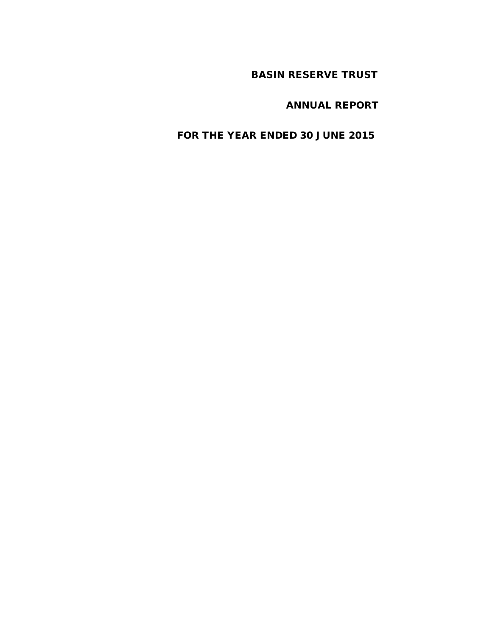# BASIN RESERVE TRUST

# ANNUAL REPORT

# FOR THE YEAR ENDED 30 JUNE 2015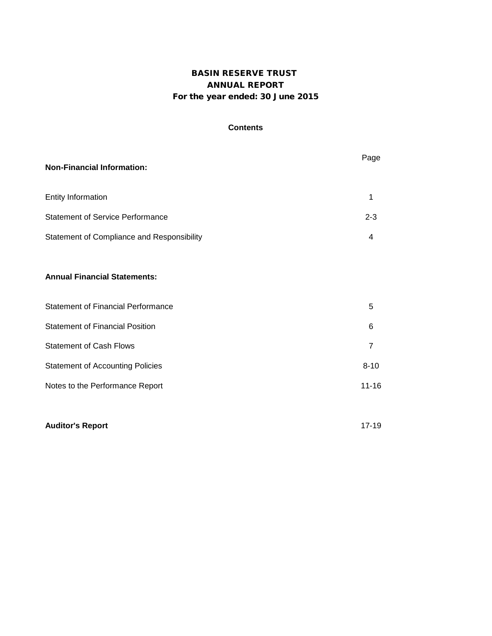## BASIN RESERVE TRUST ANNUAL REPORT For the year ended: 30 June 2015

### **Contents**

| <b>Non-Financial Information:</b>          | Page           |
|--------------------------------------------|----------------|
| <b>Entity Information</b>                  | 1              |
| <b>Statement of Service Performance</b>    | $2 - 3$        |
| Statement of Compliance and Responsibility | 4              |
| <b>Annual Financial Statements:</b>        |                |
| <b>Statement of Financial Performance</b>  | 5              |
| <b>Statement of Financial Position</b>     | 6              |
| <b>Statement of Cash Flows</b>             | $\overline{7}$ |
| <b>Statement of Accounting Policies</b>    | $8 - 10$       |
| Notes to the Performance Report            | $11 - 16$      |
|                                            |                |
| <b>Auditor's Report</b>                    | $17 - 19$      |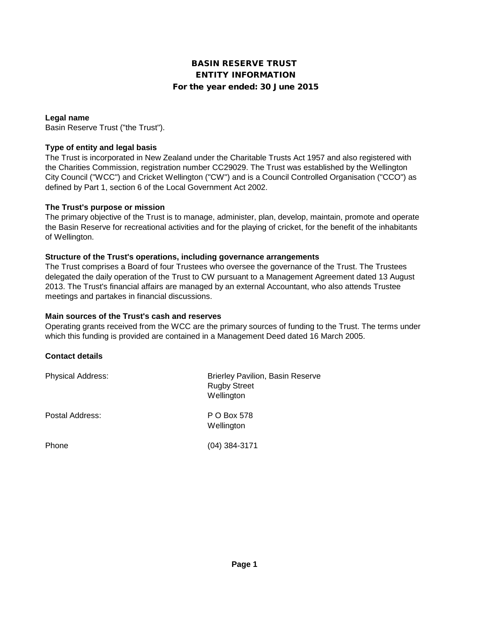## BASIN RESERVE TRUST ENTITY INFORMATION For the year ended: 30 June 2015

### **Legal name**

Basin Reserve Trust ("the Trust").

### **Type of entity and legal basis**

The Trust is incorporated in New Zealand under the Charitable Trusts Act 1957 and also registered with the Charities Commission, registration number CC29029. The Trust was established by the Wellington City Council ("WCC") and Cricket Wellington ("CW") and is a Council Controlled Organisation ("CCO") as defined by Part 1, section 6 of the Local Government Act 2002.

### **The Trust's purpose or mission**

The primary objective of the Trust is to manage, administer, plan, develop, maintain, promote and operate the Basin Reserve for recreational activities and for the playing of cricket, for the benefit of the inhabitants of Wellington.

### **Structure of the Trust's operations, including governance arrangements**

The Trust comprises a Board of four Trustees who oversee the governance of the Trust. The Trustees delegated the daily operation of the Trust to CW pursuant to a Management Agreement dated 13 August 2013. The Trust's financial affairs are managed by an external Accountant, who also attends Trustee meetings and partakes in financial discussions.

### **Main sources of the Trust's cash and reserves**

Operating grants received from the WCC are the primary sources of funding to the Trust. The terms under which this funding is provided are contained in a Management Deed dated 16 March 2005.

#### **Contact details**

| <b>Physical Address:</b> | <b>Brierley Pavilion, Basin Reserve</b><br><b>Rugby Street</b><br>Wellington |
|--------------------------|------------------------------------------------------------------------------|
| Postal Address:          | P O Box 578<br>Wellington                                                    |
| Phone                    | $(04)$ 384-3171                                                              |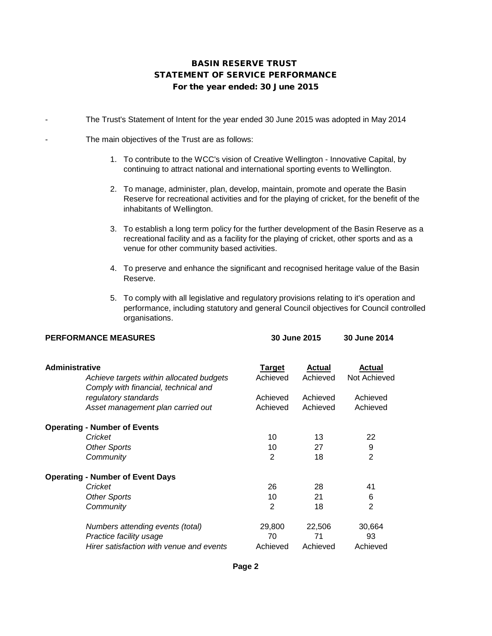## STATEMENT OF SERVICE PERFORMANCE BASIN RESERVE TRUST For the year ended: 30 June 2015

The Trust's Statement of Intent for the year ended 30 June 2015 was adopted in May 2014

The main objectives of the Trust are as follows:

- 1. To contribute to the WCC's vision of Creative Wellington Innovative Capital, by continuing to attract national and international sporting events to Wellington.
- 2. To manage, administer, plan, develop, maintain, promote and operate the Basin Reserve for recreational activities and for the playing of cricket, for the benefit of the inhabitants of Wellington.
- 3. To establish a long term policy for the further development of the Basin Reserve as a recreational facility and as a facility for the playing of cricket, other sports and as a venue for other community based activities.
- 4. To preserve and enhance the significant and recognised heritage value of the Basin Reserve.
- 5. To comply with all legislative and regulatory provisions relating to it's operation and performance, including statutory and general Council objectives for Council controlled organisations.

| <b>PERFORMANCE MEASURES</b>                                                      | 30 June 2015 |               | 30 June 2014   |  |
|----------------------------------------------------------------------------------|--------------|---------------|----------------|--|
| <b>Administrative</b>                                                            | Target       | <b>Actual</b> | <b>Actual</b>  |  |
| Achieve targets within allocated budgets<br>Comply with financial, technical and | Achieved     | Achieved      | Not Achieved   |  |
| regulatory standards                                                             | Achieved     | Achieved      | Achieved       |  |
| Asset management plan carried out                                                | Achieved     | Achieved      | Achieved       |  |
| <b>Operating - Number of Events</b>                                              |              |               |                |  |
| Cricket                                                                          | 10           | 13            | 22             |  |
| <b>Other Sports</b>                                                              | 10           | 27            | 9              |  |
| Community                                                                        | 2            | 18            | $\overline{2}$ |  |
| <b>Operating - Number of Event Days</b>                                          |              |               |                |  |
| Cricket                                                                          | 26           | 28            | 41             |  |
| <b>Other Sports</b>                                                              | 10           | 21            | 6              |  |
| Community                                                                        | 2            | 18            | $\mathfrak{p}$ |  |
| Numbers attending events (total)                                                 | 29,800       | 22,506        | 30,664         |  |
| Practice facility usage                                                          | 70           | 71            | 93             |  |
| Hirer satisfaction with venue and events                                         | Achieved     | Achieved      | Achieved       |  |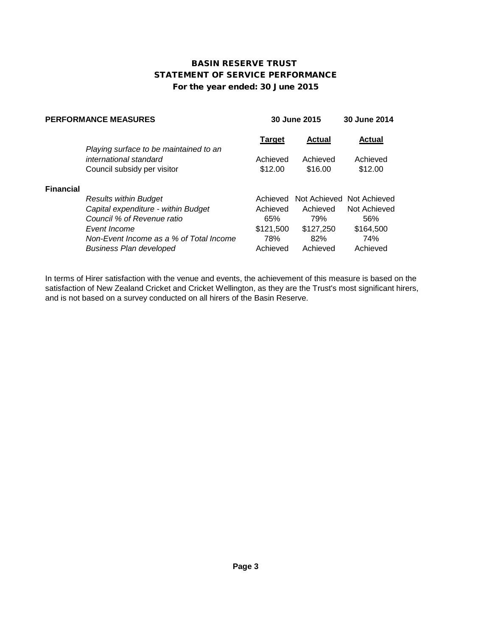## For the year ended: 30 June 2015 BASIN RESERVE TRUST STATEMENT OF SERVICE PERFORMANCE

| <b>PERFORMANCE MEASURES</b> |                                         | 30 June 2015  |               | 30 June 2014              |
|-----------------------------|-----------------------------------------|---------------|---------------|---------------------------|
|                             | Playing surface to be maintained to an  | <b>Target</b> | <b>Actual</b> | <b>Actual</b>             |
|                             | international standard                  | Achieved      | Achieved      | Achieved                  |
|                             | Council subsidy per visitor             | \$12.00       | \$16.00       | \$12.00                   |
| <b>Financial</b>            |                                         |               |               |                           |
|                             | <b>Results within Budget</b>            | Achieved      |               | Not Achieved Not Achieved |
|                             | Capital expenditure - within Budget     | Achieved      | Achieved      | Not Achieved              |
|                             | Council % of Revenue ratio              | 65%           | 79%           | 56%                       |
|                             | Event Income                            | \$121,500     | \$127,250     | \$164,500                 |
|                             | Non-Event Income as a % of Total Income | 78%           | 82%           | 74%                       |
|                             | <b>Business Plan developed</b>          | Achieved      | Achieved      | Achieved                  |

In terms of Hirer satisfaction with the venue and events, the achievement of this measure is based on the satisfaction of New Zealand Cricket and Cricket Wellington, as they are the Trust's most significant hirers, and is not based on a survey conducted on all hirers of the Basin Reserve.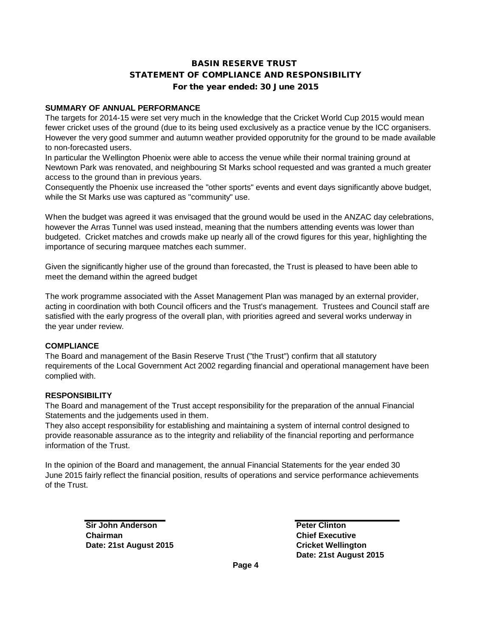## STATEMENT OF COMPLIANCE AND RESPONSIBILITY For the year ended: 30 June 2015 BASIN RESERVE TRUST

### **SUMMARY OF ANNUAL PERFORMANCE**

The targets for 2014-15 were set very much in the knowledge that the Cricket World Cup 2015 would mean fewer cricket uses of the ground (due to its being used exclusively as a practice venue by the ICC organisers. However the very good summer and autumn weather provided opporutnity for the ground to be made available to non-forecasted users.

In particular the Wellington Phoenix were able to access the venue while their normal training ground at Newtown Park was renovated, and neighbouring St Marks school requested and was granted a much greater access to the ground than in previous years.

Consequently the Phoenix use increased the "other sports" events and event days significantly above budget, while the St Marks use was captured as "community" use.

When the budget was agreed it was envisaged that the ground would be used in the ANZAC day celebrations, however the Arras Tunnel was used instead, meaning that the numbers attending events was lower than budgeted. Cricket matches and crowds make up nearly all of the crowd figures for this year, highlighting the importance of securing marquee matches each summer.

Given the significantly higher use of the ground than forecasted, the Trust is pleased to have been able to meet the demand within the agreed budget

The work programme associated with the Asset Management Plan was managed by an external provider, acting in coordination with both Council officers and the Trust's management. Trustees and Council staff are satisfied with the early progress of the overall plan, with priorities agreed and several works underway in the year under review.

#### **COMPLIANCE**

The Board and management of the Basin Reserve Trust ("the Trust") confirm that all statutory requirements of the Local Government Act 2002 regarding financial and operational management have been complied with.

## **RESPONSIBILITY**

The Board and management of the Trust accept responsibility for the preparation of the annual Financial Statements and the judgements used in them.

They also accept responsibility for establishing and maintaining a system of internal control designed to provide reasonable assurance as to the integrity and reliability of the financial reporting and performance information of the Trust.

In the opinion of the Board and management, the annual Financial Statements for the year ended 30 June 2015 fairly reflect the financial position, results of operations and service performance achievements of the Trust.

> **Sir John Anderson Peter Clinton Chairman Chief Executive Date: 21st August 2015 Cricket Wellington**

**Date: 21st August 2015**

**Page 4**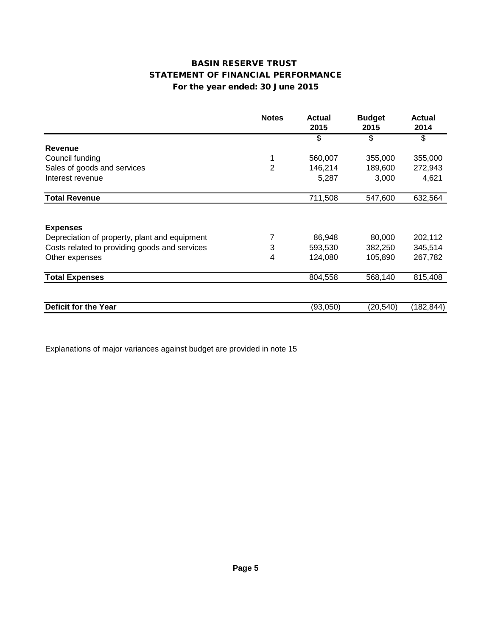## For the year ended: 30 June 2015 STATEMENT OF FINANCIAL PERFORMANCE BASIN RESERVE TRUST

|                                               | <b>Notes</b>   | <b>Actual</b><br>2015 | <b>Budget</b><br>2015 | <b>Actual</b><br>2014 |
|-----------------------------------------------|----------------|-----------------------|-----------------------|-----------------------|
|                                               |                | \$                    | \$                    | \$                    |
| Revenue                                       |                |                       |                       |                       |
| Council funding                               | 1              | 560,007               | 355,000               | 355,000               |
| Sales of goods and services                   | $\overline{2}$ | 146,214               | 189,600               | 272,943               |
| Interest revenue                              |                | 5,287                 | 3,000                 | 4,621                 |
| <b>Total Revenue</b>                          |                | 711,508               | 547,600               | 632,564               |
|                                               |                |                       |                       |                       |
| <b>Expenses</b>                               |                |                       |                       |                       |
| Depreciation of property, plant and equipment | 7              | 86,948                | 80,000                | 202,112               |
| Costs related to providing goods and services | 3              | 593,530               | 382,250               | 345,514               |
| Other expenses                                | 4              | 124,080               | 105,890               | 267,782               |
| <b>Total Expenses</b>                         |                | 804,558               | 568,140               | 815,408               |
|                                               |                |                       |                       |                       |
| Deficit for the Year                          |                | (93,050)              | (20, 540)             | (182, 844)            |

Explanations of major variances against budget are provided in note 15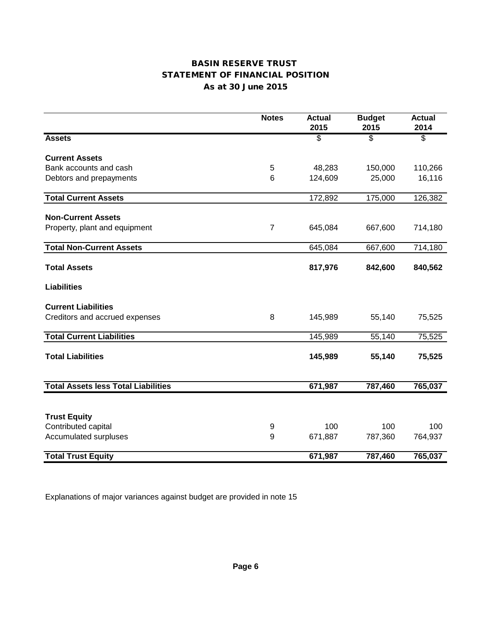## BASIN RESERVE TRUST As at 30 June 2015 STATEMENT OF FINANCIAL POSITION

|                                            | <b>Notes</b>   | <b>Actual</b><br>2015 | <b>Budget</b><br>2015    | <b>Actual</b><br>2014 |
|--------------------------------------------|----------------|-----------------------|--------------------------|-----------------------|
| <b>Assets</b>                              |                | \$                    | $\overline{\mathcal{S}}$ | \$                    |
| <b>Current Assets</b>                      |                |                       |                          |                       |
| Bank accounts and cash                     | 5              | 48,283                | 150,000                  | 110,266               |
| Debtors and prepayments                    | 6              | 124,609               | 25,000                   | 16,116                |
| <b>Total Current Assets</b>                |                | 172,892               | 175,000                  | 126,382               |
| <b>Non-Current Assets</b>                  |                |                       |                          |                       |
| Property, plant and equipment              | $\overline{7}$ | 645,084               | 667,600                  | 714,180               |
| <b>Total Non-Current Assets</b>            |                | 645,084               | 667,600                  | 714,180               |
| <b>Total Assets</b>                        |                | 817,976               | 842,600                  | 840,562               |
| <b>Liabilities</b>                         |                |                       |                          |                       |
| <b>Current Liabilities</b>                 |                |                       |                          |                       |
| Creditors and accrued expenses             | 8              | 145,989               | 55,140                   | 75,525                |
| <b>Total Current Liabilities</b>           |                | 145,989               | 55,140                   | 75,525                |
| <b>Total Liabilities</b>                   |                | 145,989               | 55,140                   | 75,525                |
| <b>Total Assets less Total Liabilities</b> |                | 671,987               | 787,460                  | 765,037               |
|                                            |                |                       |                          |                       |
| <b>Trust Equity</b>                        |                |                       |                          |                       |
| Contributed capital                        | 9              | 100                   | 100                      | 100                   |
| Accumulated surpluses                      | 9              | 671,887               | 787,360                  | 764,937               |
| <b>Total Trust Equity</b>                  |                | 671,987               | 787,460                  | 765,037               |

Explanations of major variances against budget are provided in note 15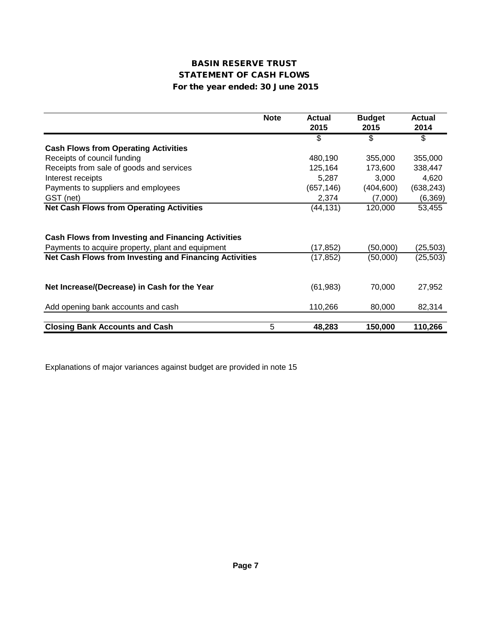## BASIN RESERVE TRUST STATEMENT OF CASH FLOWS For the year ended: 30 June 2015

|                                                                                                                | <b>Note</b> | <b>Actual</b><br>2015 | <b>Budget</b><br>2015 | <b>Actual</b><br>2014 |
|----------------------------------------------------------------------------------------------------------------|-------------|-----------------------|-----------------------|-----------------------|
|                                                                                                                |             | \$                    | \$                    | \$                    |
| <b>Cash Flows from Operating Activities</b>                                                                    |             |                       |                       |                       |
| Receipts of council funding                                                                                    |             | 480,190               | 355,000               | 355,000               |
| Receipts from sale of goods and services                                                                       |             | 125,164               | 173,600               | 338,447               |
| Interest receipts                                                                                              |             | 5,287                 | 3,000                 | 4,620                 |
| Payments to suppliers and employees                                                                            |             | (657, 146)            | (404, 600)            | (638, 243)            |
| GST (net)                                                                                                      |             | 2,374                 | (7,000)               | (6, 369)              |
| <b>Net Cash Flows from Operating Activities</b>                                                                |             | (44, 131)             | 120,000               | 53,455                |
| <b>Cash Flows from Investing and Financing Activities</b><br>Payments to acquire property, plant and equipment |             | (17, 852)             | (50,000)              | (25, 503)             |
| Net Cash Flows from Investing and Financing Activities                                                         |             | (17,852)              | (50,000)              | (25, 503)             |
| Net Increase/(Decrease) in Cash for the Year<br>Add opening bank accounts and cash                             |             | (61, 983)<br>110,266  | 70,000<br>80,000      | 27,952<br>82,314      |
| <b>Closing Bank Accounts and Cash</b>                                                                          | 5           | 48,283                | 150,000               | 110,266               |

Explanations of major variances against budget are provided in note 15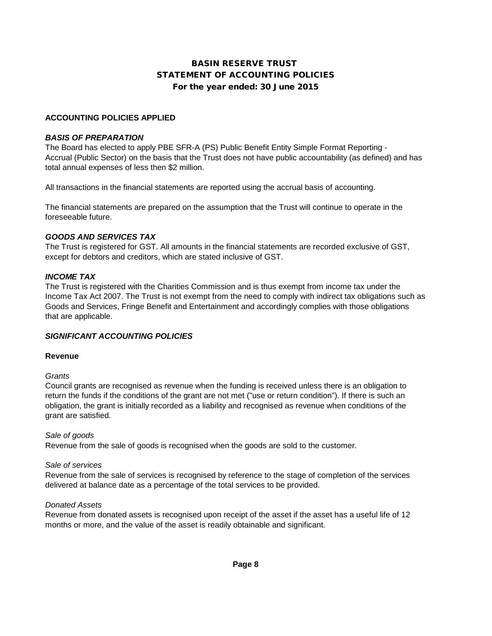## STATEMENT OF ACCOUNTING POLICIES For the year ended: 30 June 2015 BASIN RESERVE TRUST

### **ACCOUNTING POLICIES APPLIED**

#### *BASIS OF PREPARATION*

The Board has elected to apply PBE SFR-A (PS) Public Benefit Entity Simple Format Reporting - Accrual (Public Sector) on the basis that the Trust does not have public accountability (as defined) and has total annual expenses of less then \$2 million.

All transactions in the financial statements are reported using the accrual basis of accounting.

The financial statements are prepared on the assumption that the Trust will continue to operate in the foreseeable future.

#### *GOODS AND SERVICES TAX*

The Trust is registered for GST. All amounts in the financial statements are recorded exclusive of GST, except for debtors and creditors, which are stated inclusive of GST.

#### *INCOME TAX*

The Trust is registered with the Charities Commission and is thus exempt from income tax under the Income Tax Act 2007. The Trust is not exempt from the need to comply with indirect tax obligations such as Goods and Services, Fringe Benefit and Entertainment and accordingly complies with those obligations that are applicable.

#### *SIGNIFICANT ACCOUNTING POLICIES*

#### **Revenue**

#### *Grants*

Council grants are recognised as revenue when the funding is received unless there is an obligation to return the funds if the conditions of the grant are not met ("use or return condition"). If there is such an obligation, the grant is initially recorded as a liability and recognised as revenue when conditions of the grant are satisfied.

#### *Sale of goods*

Revenue from the sale of goods is recognised when the goods are sold to the customer.

#### *Sale of services*

Revenue from the sale of services is recognised by reference to the stage of completion of the services delivered at balance date as a percentage of the total services to be provided.

#### *Donated Assets*

Revenue from donated assets is recognised upon receipt of the asset if the asset has a useful life of 12 months or more, and the value of the asset is readily obtainable and significant.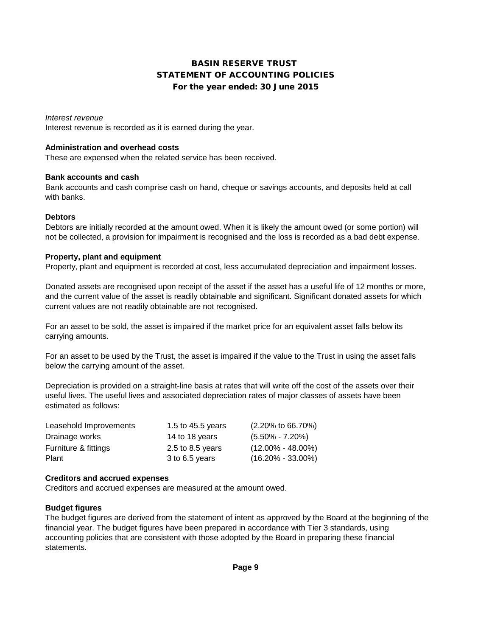## BASIN RESERVE TRUST STATEMENT OF ACCOUNTING POLICIES For the year ended: 30 June 2015

#### *Interest revenue*

Interest revenue is recorded as it is earned during the year.

#### **Administration and overhead costs**

These are expensed when the related service has been received.

#### **Bank accounts and cash**

Bank accounts and cash comprise cash on hand, cheque or savings accounts, and deposits held at call with banks.

#### **Debtors**

Debtors are initially recorded at the amount owed. When it is likely the amount owed (or some portion) will not be collected, a provision for impairment is recognised and the loss is recorded as a bad debt expense.

#### **Property, plant and equipment**

Property, plant and equipment is recorded at cost, less accumulated depreciation and impairment losses.

Donated assets are recognised upon receipt of the asset if the asset has a useful life of 12 months or more, and the current value of the asset is readily obtainable and significant. Significant donated assets for which current values are not readily obtainable are not recognised.

For an asset to be sold, the asset is impaired if the market price for an equivalent asset falls below its carrying amounts.

For an asset to be used by the Trust, the asset is impaired if the value to the Trust in using the asset falls below the carrying amount of the asset.

Depreciation is provided on a straight-line basis at rates that will write off the cost of the assets over their useful lives. The useful lives and associated depreciation rates of major classes of assets have been estimated as follows:

| Leasehold Improvements | 1.5 to 45.5 years | $(2.20\% \text{ to } 66.70\%)$ |
|------------------------|-------------------|--------------------------------|
| Drainage works         | 14 to 18 years    | $(5.50\% - 7.20\%)$            |
| Furniture & fittings   | 2.5 to 8.5 years  | $(12.00\% - 48.00\%)$          |
| Plant                  | 3 to 6.5 years    | $(16.20\% - 33.00\%)$          |

#### **Creditors and accrued expenses**

Creditors and accrued expenses are measured at the amount owed.

#### **Budget figures**

The budget figures are derived from the statement of intent as approved by the Board at the beginning of the financial year. The budget figures have been prepared in accordance with Tier 3 standards, using accounting policies that are consistent with those adopted by the Board in preparing these financial statements.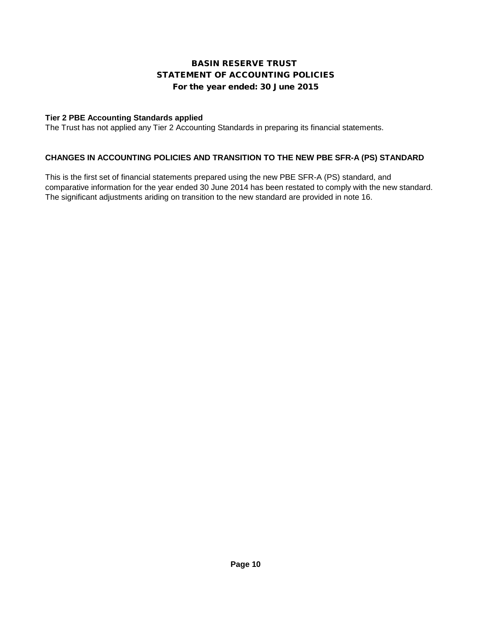## BASIN RESERVE TRUST STATEMENT OF ACCOUNTING POLICIES For the year ended: 30 June 2015

## **Tier 2 PBE Accounting Standards applied**

The Trust has not applied any Tier 2 Accounting Standards in preparing its financial statements.

## **CHANGES IN ACCOUNTING POLICIES AND TRANSITION TO THE NEW PBE SFR-A (PS) STANDARD**

This is the first set of financial statements prepared using the new PBE SFR-A (PS) standard, and comparative information for the year ended 30 June 2014 has been restated to comply with the new standard. The significant adjustments ariding on transition to the new standard are provided in note 16.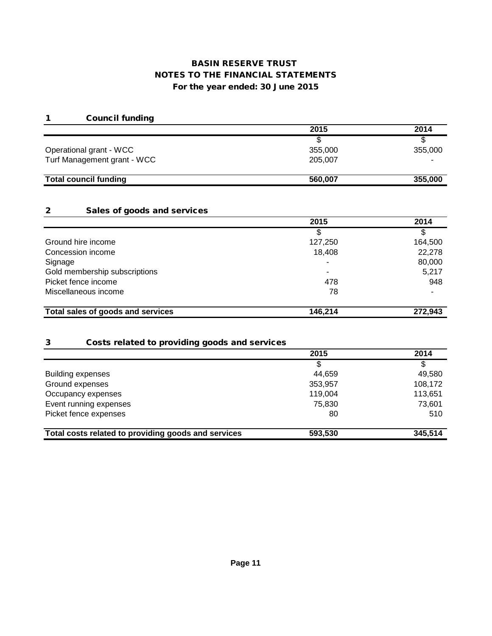## For the year ended: 30 June 2015 BASIN RESERVE TRUST NOTES TO THE FINANCIAL STATEMENTS

## 1 Council funding

|                              | 2015    | 2014    |
|------------------------------|---------|---------|
|                              |         |         |
| Operational grant - WCC      | 355,000 | 355,000 |
| Turf Management grant - WCC  | 205,007 |         |
| <b>Total council funding</b> | 560,007 | 355,000 |

## 2 Sales of goods and services

|                                   | 2015    | 2014    |
|-----------------------------------|---------|---------|
|                                   |         |         |
| Ground hire income                | 127,250 | 164,500 |
| Concession income                 | 18,408  | 22,278  |
| Signage                           | ۰       | 80,000  |
| Gold membership subscriptions     | ٠       | 5,217   |
| Picket fence income               | 478     | 948     |
| Miscellaneous income              | 78      |         |
| Total sales of goods and services | 146,214 | 272,943 |

### 3 Costs related to providing goods and services

| 2015    | 2014    |
|---------|---------|
|         | \$      |
| 44,659  | 49,580  |
| 353,957 | 108,172 |
| 119,004 | 113,651 |
| 75,830  | 73,601  |
| 80      | 510     |
|         | 345,514 |
|         | 593,530 |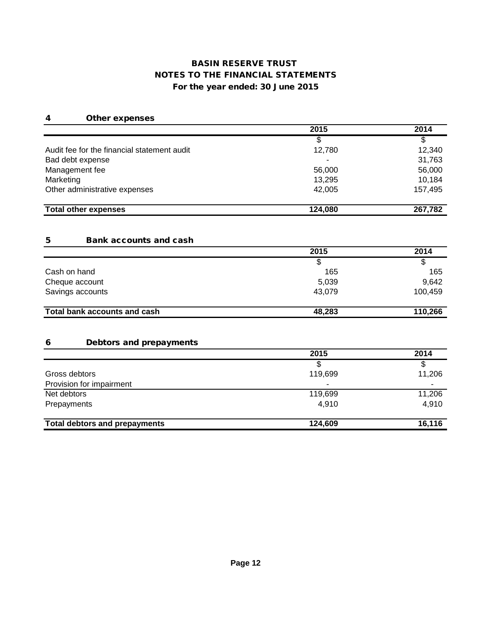## NOTES TO THE FINANCIAL STATEMENTS For the year ended: 30 June 2015 BASIN RESERVE TRUST

### 4 Other expenses

|                                             | 2015                     | 2014    |
|---------------------------------------------|--------------------------|---------|
|                                             |                          |         |
| Audit fee for the financial statement audit | 12,780                   | 12,340  |
| Bad debt expense                            | $\overline{\phantom{a}}$ | 31,763  |
| Management fee                              | 56,000                   | 56,000  |
| Marketing                                   | 13,295                   | 10,184  |
| Other administrative expenses               | 42,005                   | 157,495 |
| <b>Total other expenses</b>                 | 124,080                  | 267,782 |

### 5 Bank accounts and cash

|                              | 2015   | 2014    |
|------------------------------|--------|---------|
|                              | S      |         |
| Cash on hand                 | 165    | 165     |
| Cheque account               | 5,039  | 9,642   |
| Savings accounts             | 43.079 | 100,459 |
| Total bank accounts and cash | 48,283 | 110,266 |

### 6 Debtors and prepayments

|                                      | 2015    | 2014   |
|--------------------------------------|---------|--------|
|                                      |         |        |
| Gross debtors                        | 119,699 | 11,206 |
| Provision for impairment             | ۰       |        |
| Net debtors                          | 119,699 | 11,206 |
| Prepayments                          | 4,910   | 4,910  |
| <b>Total debtors and prepayments</b> | 124,609 | 16,116 |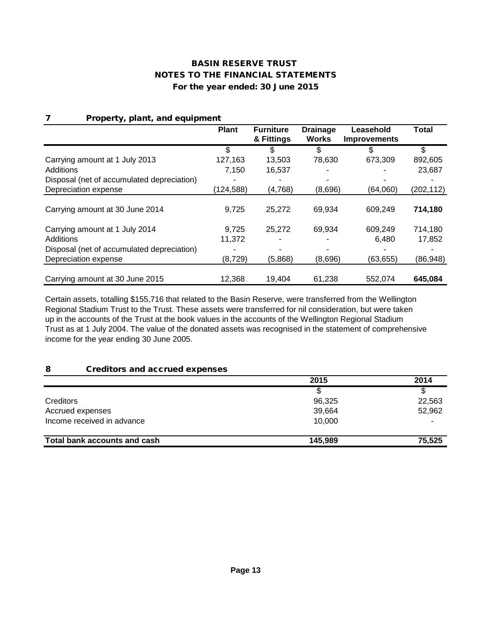| Property, plant, and equipment<br>7        |              |                  |                 |                     |            |
|--------------------------------------------|--------------|------------------|-----------------|---------------------|------------|
|                                            | <b>Plant</b> | <b>Furniture</b> | <b>Drainage</b> | Leasehold           | Total      |
|                                            |              | & Fittings       | <b>Works</b>    | <b>Improvements</b> |            |
|                                            | \$           | S                | S               | \$                  | \$         |
| Carrying amount at 1 July 2013             | 127,163      | 13,503           | 78,630          | 673,309             | 892,605    |
| Additions                                  | 7,150        | 16,537           |                 |                     | 23,687     |
| Disposal (net of accumulated depreciation) |              |                  |                 |                     |            |
| Depreciation expense                       | (124, 588)   | (4,768)          | (8,696)         | (64,060)            | (202, 112) |
|                                            |              |                  |                 |                     |            |
| Carrying amount at 30 June 2014            | 9,725        | 25.272           | 69,934          | 609,249             | 714,180    |
| Carrying amount at 1 July 2014             | 9,725        | 25,272           | 69,934          | 609,249             | 714,180    |
| Additions                                  | 11,372       |                  |                 | 6,480               | 17,852     |
| Disposal (net of accumulated depreciation) |              |                  |                 |                     |            |
| Depreciation expense                       | (8, 729)     | (5,868)          | (8,696)         | (63, 655)           | (86, 948)  |
|                                            |              |                  |                 |                     |            |
| Carrying amount at 30 June 2015            | 12,368       | 19.404           | 61,238          | 552,074             | 645,084    |

Certain assets, totalling \$155,716 that related to the Basin Reserve, were transferred from the Wellington Regional Stadium Trust to the Trust. These assets were transferred for nil consideration, but were taken up in the accounts of the Trust at the book values in the accounts of the Wellington Regional Stadium Trust as at 1 July 2004. The value of the donated assets was recognised in the statement of comprehensive income for the year ending 30 June 2005.

## 8 Creditors and accrued expenses

|                              | 2015    | 2014   |
|------------------------------|---------|--------|
|                              |         |        |
| Creditors                    | 96,325  | 22,563 |
| Accrued expenses             | 39,664  | 52,962 |
| Income received in advance   | 10,000  |        |
| Total bank accounts and cash | 145.989 | 75,525 |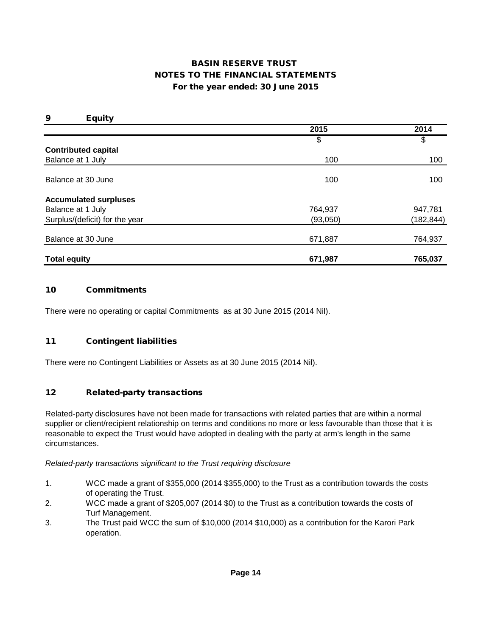| 9<br><b>Equity</b>             |          |            |
|--------------------------------|----------|------------|
|                                | 2015     | 2014       |
|                                | \$       | \$         |
| <b>Contributed capital</b>     |          |            |
| Balance at 1 July              | 100      | 100        |
|                                |          |            |
| Balance at 30 June             | 100      | 100        |
| <b>Accumulated surpluses</b>   |          |            |
| Balance at 1 July              | 764,937  | 947,781    |
| Surplus/(deficit) for the year | (93,050) | (182, 844) |
| Balance at 30 June             | 671,887  | 764,937    |
|                                |          |            |
| <b>Total equity</b>            | 671,987  | 765,037    |

#### 10 Commitments

There were no operating or capital Commitments as at 30 June 2015 (2014 Nil).

#### 11 Contingent liabilities

There were no Contingent Liabilities or Assets as at 30 June 2015 (2014 Nil).

#### 12 Related-party transactions

Related-party disclosures have not been made for transactions with related parties that are within a normal supplier or client/recipient relationship on terms and conditions no more or less favourable than those that it is reasonable to expect the Trust would have adopted in dealing with the party at arm's length in the same circumstances.

#### *Related-party transactions significant to the Trust requiring disclosure*

- 1. WCC made a grant of \$355,000 (2014 \$355,000) to the Trust as a contribution towards the costs of operating the Trust.
- 2. WCC made a grant of \$205,007 (2014 \$0) to the Trust as a contribution towards the costs of Turf Management.
- 3. The Trust paid WCC the sum of \$10,000 (2014 \$10,000) as a contribution for the Karori Park operation.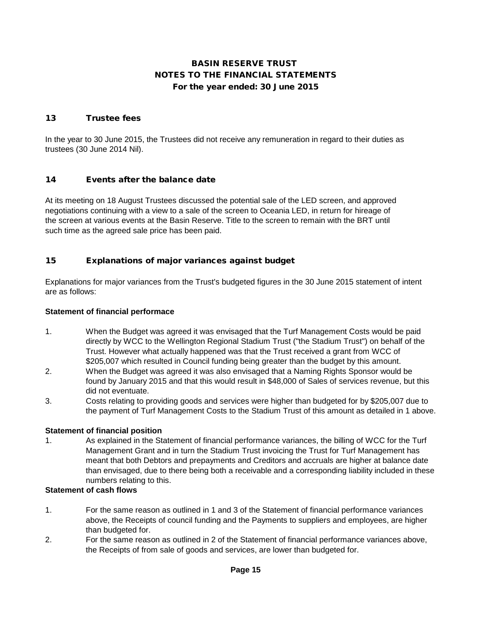### 13 Trustee fees

In the year to 30 June 2015, the Trustees did not receive any remuneration in regard to their duties as trustees (30 June 2014 Nil).

### 14 Events after the balance date

At its meeting on 18 August Trustees discussed the potential sale of the LED screen, and approved negotiations continuing with a view to a sale of the screen to Oceania LED, in return for hireage of the screen at various events at the Basin Reserve. Title to the screen to remain with the BRT until such time as the agreed sale price has been paid.

## 15 Explanations of major variances against budget

Explanations for major variances from the Trust's budgeted figures in the 30 June 2015 statement of intent are as follows:

#### **Statement of financial performace**

- 1. When the Budget was agreed it was envisaged that the Turf Management Costs would be paid directly by WCC to the Wellington Regional Stadium Trust ("the Stadium Trust") on behalf of the Trust. However what actually happened was that the Trust received a grant from WCC of \$205,007 which resulted in Council funding being greater than the budget by this amount.
- 2. When the Budget was agreed it was also envisaged that a Naming Rights Sponsor would be found by January 2015 and that this would result in \$48,000 of Sales of services revenue, but this did not eventuate.
- 3. Costs relating to providing goods and services were higher than budgeted for by \$205,007 due to the payment of Turf Management Costs to the Stadium Trust of this amount as detailed in 1 above.

### **Statement of financial position**

1. As explained in the Statement of financial performance variances, the billing of WCC for the Turf Management Grant and in turn the Stadium Trust invoicing the Trust for Turf Management has meant that both Debtors and prepayments and Creditors and accruals are higher at balance date than envisaged, due to there being both a receivable and a corresponding liability included in these numbers relating to this.

#### **Statement of cash flows**

- 1. For the same reason as outlined in 1 and 3 of the Statement of financial performance variances above, the Receipts of council funding and the Payments to suppliers and employees, are higher than budgeted for.
- 2. For the same reason as outlined in 2 of the Statement of financial performance variances above, the Receipts of from sale of goods and services, are lower than budgeted for.